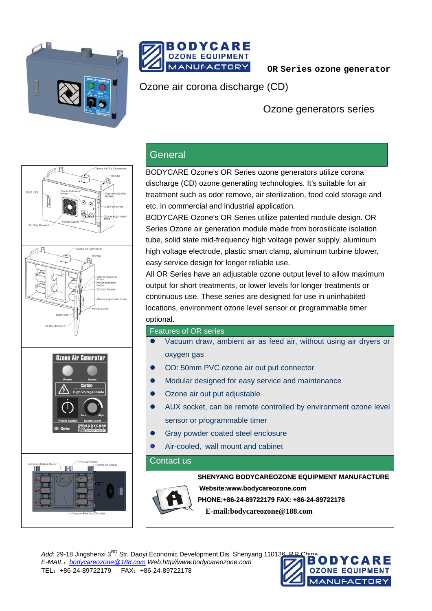



 **OR Series ozone generator** 

Ozone air corona discharge (CD)

Ozone generators series



## **General**

BODYCARE Ozone's OR Series ozone generators utilize corona discharge (CD) ozone generating technologies. It's suitable for air treatment such as odor remove, air sterilization, food cold storage and etc. in commercial and industrial application.

BODYCARE Ozone's OR Series utilize patented module design. OR Series Ozone air generation module made from borosilicate isolation tube, solid state mid-frequency high voltage power supply, aluminum high voltage electrode, plastic smart clamp, aluminum turbine blower, easy service design for longer reliable use.

All OR Series have an adjustable ozone output level to allow maximum output for short treatments, or lower levels for longer treatments or continuous use. These series are designed for use in uninhabited locations, environment ozone level sensor or programmable timer optional.

## Features of OR series

- Vacuum draw, ambient air as feed air, without using air dryers or oxygen gas
- OD: 50mm PVC ozone air out put connector
- Modular designed for easy service and maintenance
- Ozone air out put adjustable
- AUX socket, can be remote controlled by environment ozone level sensor or programmable timer
- Gray powder coated steel enclosure
- Air-cooled, wall mount and cabinet

## Contact us



**SHENYANG BODYCAREOZONE EQUIPMENT MANUFACTURE**

**Website:www.bodycareozone.com**

**PHONE:+86-24-89722179 FAX: +86-24-89722178**

**E-mail:bodycareozone@188.com**